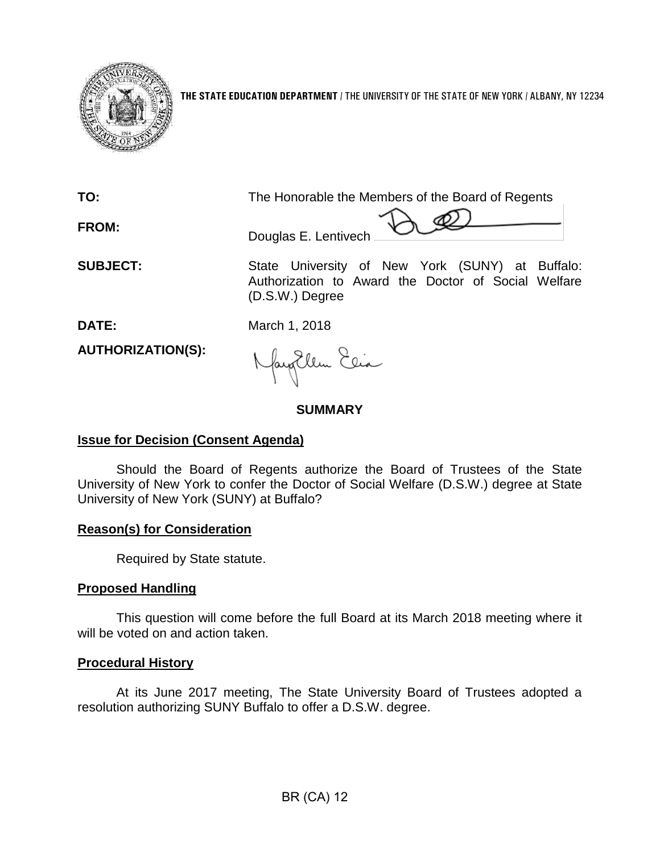

**THE STATE EDUCATION DEPARTMENT** / THE UNIVERSITY OF THE STATE OF NEW YORK / ALBANY, NY 12234

**TO:** The Honorable the Members of the Board of Regents

**FROM:**

 $\forall$   $\mathcal{Q}$ Douglas E. Lentivech

**SUBJECT:** State University of New York (SUNY) at Buffalo: Authorization to Award the Doctor of Social Welfare (D.S.W.) Degree

**DATE:** March 1, 2018

**AUTHORIZATION(S):**

fayEllen Elia

## **SUMMARY**

## **Issue for Decision (Consent Agenda)**

Should the Board of Regents authorize the Board of Trustees of the State University of New York to confer the Doctor of Social Welfare (D.S.W.) degree at State University of New York (SUNY) at Buffalo?

## **Reason(s) for Consideration**

Required by State statute.

# **Proposed Handling**

This question will come before the full Board at its March 2018 meeting where it will be voted on and action taken.

## **Procedural History**

At its June 2017 meeting, The State University Board of Trustees adopted a resolution authorizing SUNY Buffalo to offer a D.S.W. degree.